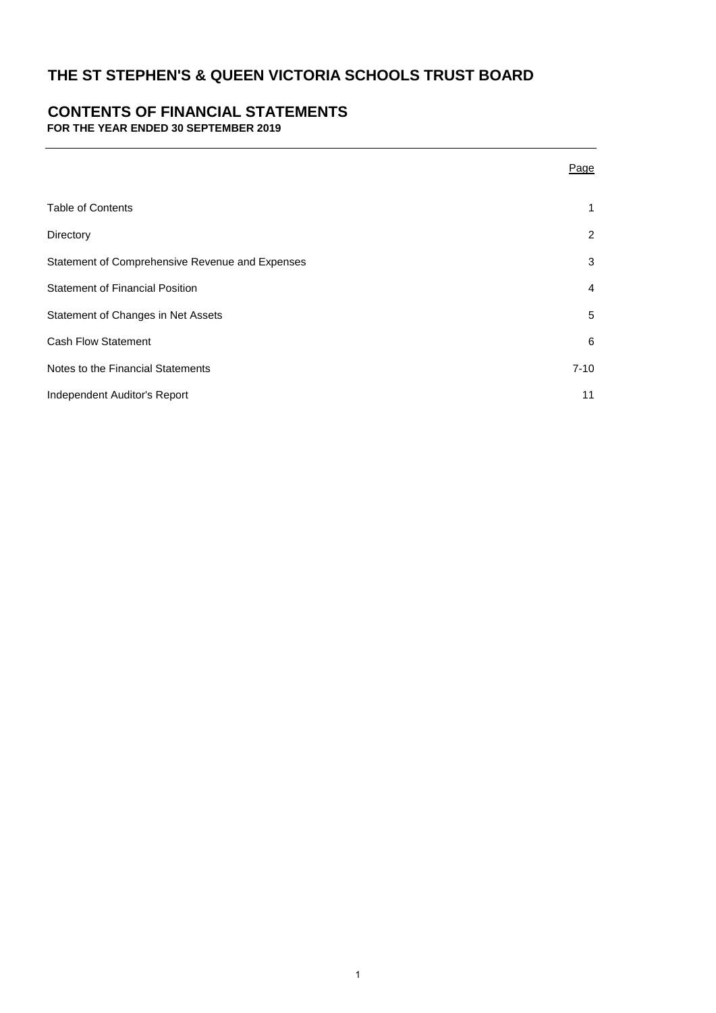# **CONTENTS OF FINANCIAL STATEMENTS**

**FOR THE YEAR ENDED 30 SEPTEMBER 2019**

|                                                 | <u>Page</u>    |
|-------------------------------------------------|----------------|
| <b>Table of Contents</b>                        | 1              |
| Directory                                       | $\overline{2}$ |
| Statement of Comprehensive Revenue and Expenses | 3              |
| <b>Statement of Financial Position</b>          | $\overline{4}$ |
| Statement of Changes in Net Assets              | 5              |
| <b>Cash Flow Statement</b>                      | 6              |
| Notes to the Financial Statements               | $7 - 10$       |
| Independent Auditor's Report                    | 11             |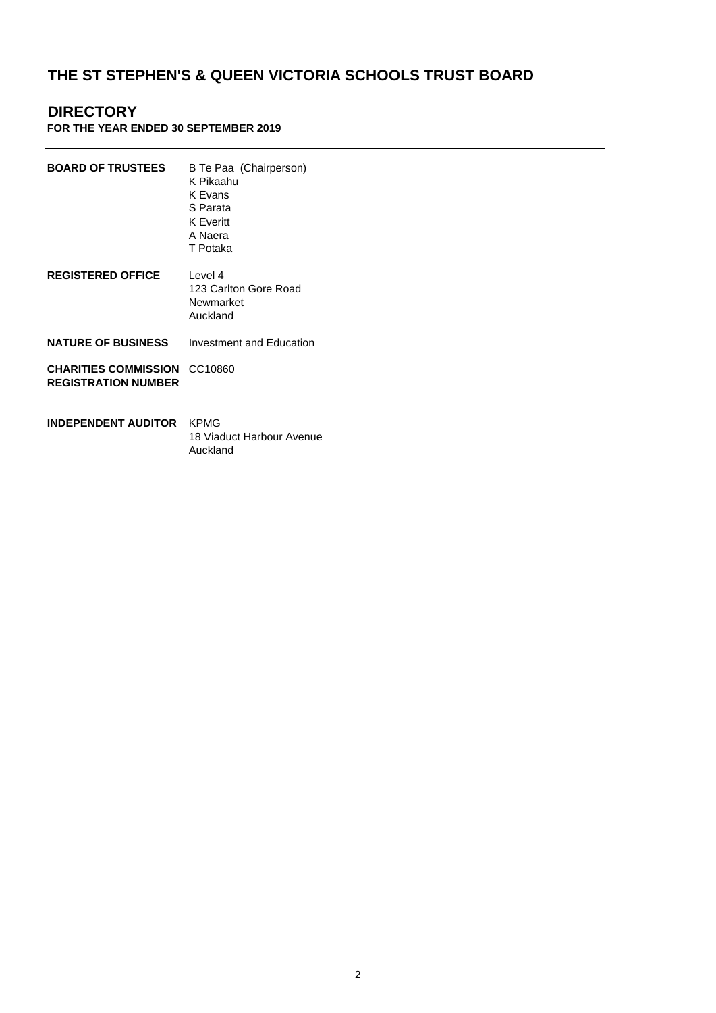# **DIRECTORY**

### **FOR THE YEAR ENDED 30 SEPTEMBER 2019**

| <b>BOARD OF TRUSTEES</b>                                  | B Te Paa (Chairperson)<br>K Pikaahu<br>K Evans<br>S Parata<br><b>K</b> Everitt<br>A Naera<br>T Potaka |
|-----------------------------------------------------------|-------------------------------------------------------------------------------------------------------|
| <b>REGISTERED OFFICE</b>                                  | Level 4<br>123 Carlton Gore Road<br>Newmarket<br>Auckland                                             |
| <b>NATURE OF BUSINESS</b>                                 | Investment and Education                                                                              |
| <b>CHARITIES COMMISSION</b><br><b>REGISTRATION NUMBER</b> | CC10860                                                                                               |
| INDEPENDENT AUDITOR                                       | KPMG<br>18 Viaduct Harbour Avenue                                                                     |

Auckland

2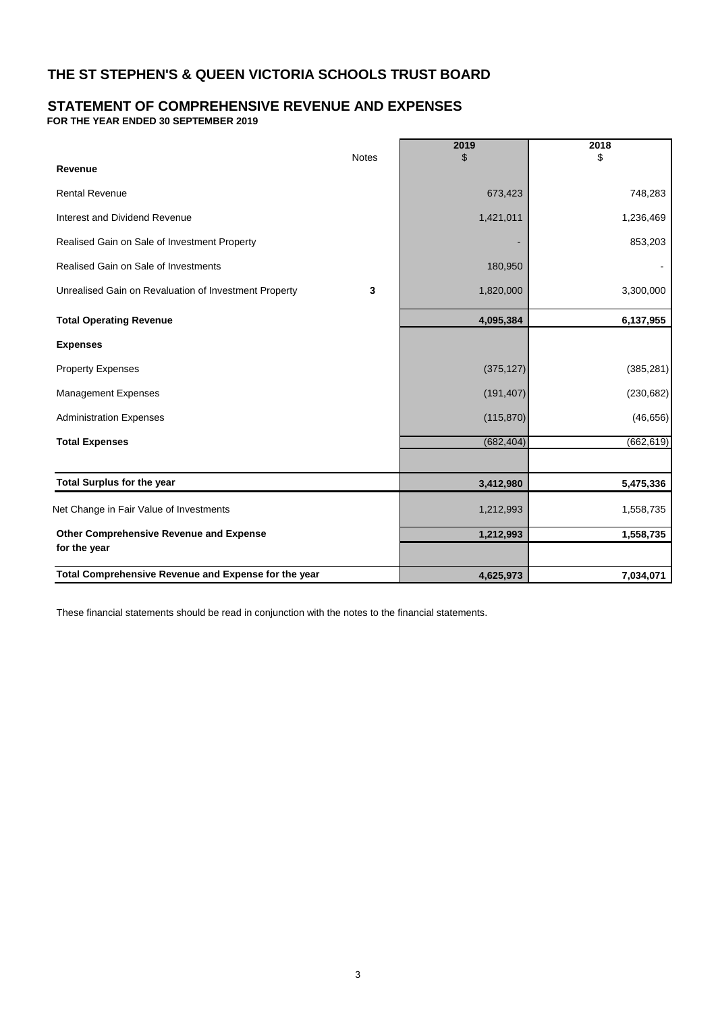# **STATEMENT OF COMPREHENSIVE REVENUE AND EXPENSES**

**FOR THE YEAR ENDED 30 SEPTEMBER 2019**

|                                                       | <b>Notes</b> | 2019<br>\$ | 2018<br>\$ |
|-------------------------------------------------------|--------------|------------|------------|
| Revenue                                               |              |            |            |
| <b>Rental Revenue</b>                                 |              | 673,423    | 748,283    |
| Interest and Dividend Revenue                         |              | 1,421,011  | 1,236,469  |
| Realised Gain on Sale of Investment Property          |              |            | 853,203    |
| Realised Gain on Sale of Investments                  |              | 180,950    |            |
| Unrealised Gain on Revaluation of Investment Property | 3            | 1,820,000  | 3,300,000  |
| <b>Total Operating Revenue</b>                        |              | 4,095,384  | 6,137,955  |
| <b>Expenses</b>                                       |              |            |            |
| <b>Property Expenses</b>                              |              | (375, 127) | (385, 281) |
| Management Expenses                                   |              | (191, 407) | (230, 682) |
| <b>Administration Expenses</b>                        |              | (115, 870) | (46, 656)  |
| <b>Total Expenses</b>                                 |              | (682, 404) | (662, 619) |
|                                                       |              |            |            |
| <b>Total Surplus for the year</b>                     |              | 3,412,980  | 5,475,336  |
| Net Change in Fair Value of Investments               |              | 1,212,993  | 1,558,735  |
| Other Comprehensive Revenue and Expense               |              | 1,212,993  | 1,558,735  |
| for the year                                          |              |            |            |
| Total Comprehensive Revenue and Expense for the year  |              | 4,625,973  | 7,034,071  |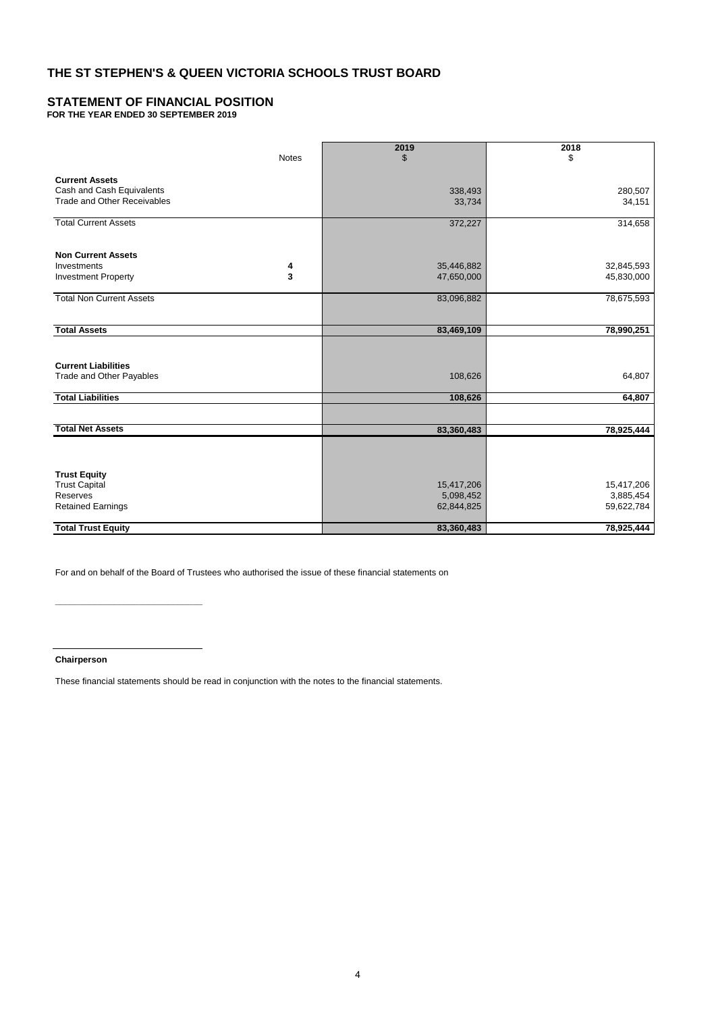## **STATEMENT OF FINANCIAL POSITION**

**FOR THE YEAR ENDED 30 SEPTEMBER 2019**

|                                           |              | 2019                     | 2018                     |
|-------------------------------------------|--------------|--------------------------|--------------------------|
|                                           | <b>Notes</b> | $\mathfrak{L}$           | \$                       |
| <b>Current Assets</b>                     |              |                          |                          |
| Cash and Cash Equivalents                 |              | 338,493                  | 280,507                  |
| <b>Trade and Other Receivables</b>        |              | 33,734                   | 34,151                   |
| <b>Total Current Assets</b>               |              | 372,227                  | 314,658                  |
|                                           |              |                          |                          |
| <b>Non Current Assets</b>                 |              |                          |                          |
| Investments<br><b>Investment Property</b> | 4<br>3       | 35,446,882<br>47,650,000 | 32,845,593<br>45,830,000 |
|                                           |              |                          |                          |
| <b>Total Non Current Assets</b>           |              | 83,096,882               | 78,675,593               |
|                                           |              |                          |                          |
| <b>Total Assets</b>                       |              | 83,469,109               | 78,990,251               |
|                                           |              |                          |                          |
| <b>Current Liabilities</b>                |              |                          |                          |
| Trade and Other Payables                  |              | 108,626                  | 64,807                   |
| <b>Total Liabilities</b>                  |              | 108,626                  | 64,807                   |
|                                           |              |                          |                          |
| <b>Total Net Assets</b>                   |              | 83,360,483               | 78,925,444               |
|                                           |              |                          |                          |
|                                           |              |                          |                          |
| <b>Trust Equity</b>                       |              |                          |                          |
| <b>Trust Capital</b>                      |              | 15,417,206               | 15,417,206               |
| Reserves<br><b>Retained Earnings</b>      |              | 5,098,452<br>62,844,825  | 3,885,454<br>59,622,784  |
|                                           |              |                          |                          |
| <b>Total Trust Equity</b>                 |              | 83,360,483               | 78,925,444               |

For and on behalf of the Board of Trustees who authorised the issue of these financial statements on

**Chairperson**

**\_\_\_\_\_\_\_\_\_\_\_\_\_\_\_\_\_\_\_\_\_\_\_\_\_\_\_\_\_\_**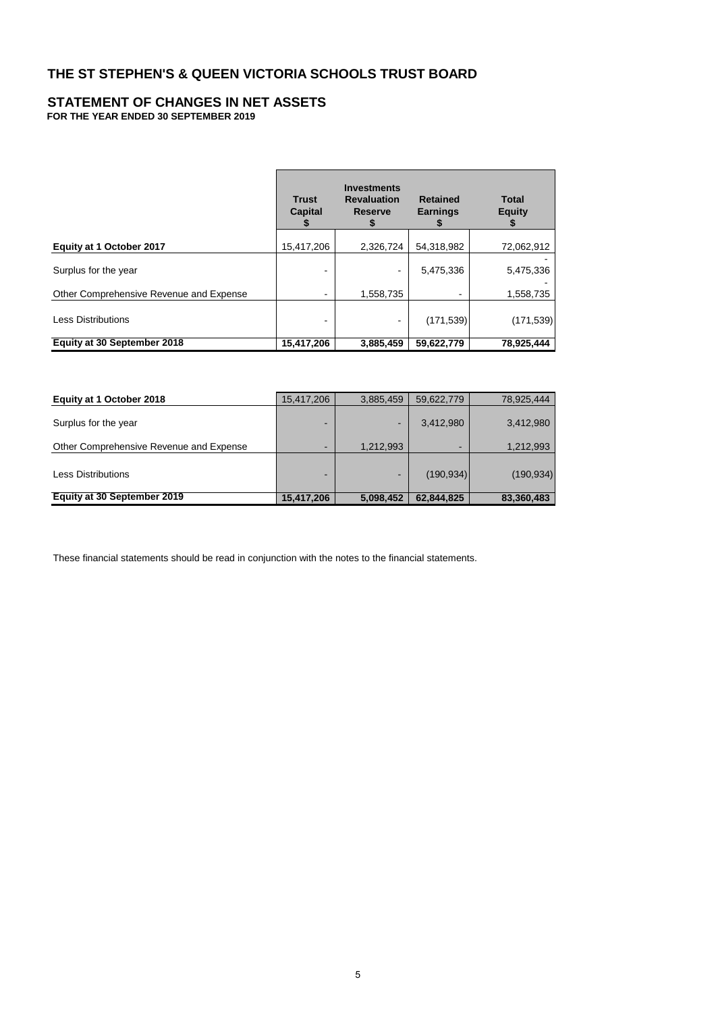#### **STATEMENT OF CHANGES IN NET ASSETS FOR THE YEAR ENDED 30 SEPTEMBER 2019**

|                                         | <b>Trust</b><br><b>Capital</b> | <b>Investments</b><br><b>Revaluation</b><br><b>Reserve</b> | <b>Retained</b><br><b>Earnings</b><br>ъ | <b>Total</b><br><b>Equity</b> |
|-----------------------------------------|--------------------------------|------------------------------------------------------------|-----------------------------------------|-------------------------------|
| Equity at 1 October 2017                | 15,417,206                     | 2,326,724                                                  | 54,318,982                              | 72,062,912                    |
| Surplus for the year                    |                                |                                                            | 5,475,336                               | 5,475,336                     |
| Other Comprehensive Revenue and Expense |                                | 1,558,735                                                  | $\,$                                    | 1,558,735                     |
| <b>Less Distributions</b>               | -                              |                                                            | (171, 539)                              | (171, 539)                    |
| Equity at 30 September 2018             | 15,417,206                     | 3,885,459                                                  | 59,622,779                              | 78,925,444                    |

| Equity at 1 October 2018                | 15,417,206 | 3,885,459                | 59,622,779               | 78,925,444 |
|-----------------------------------------|------------|--------------------------|--------------------------|------------|
| Surplus for the year                    |            | $\overline{\phantom{a}}$ | 3,412,980                | 3,412,980  |
| Other Comprehensive Revenue and Expense |            | 1,212,993                | $\overline{\phantom{a}}$ | 1,212,993  |
| <b>Less Distributions</b>               | -          | $\overline{\phantom{a}}$ | (190, 934)               | (190, 934) |
| Equity at 30 September 2019             | 15,417,206 | 5,098,452                | 62.844.825               | 83,360,483 |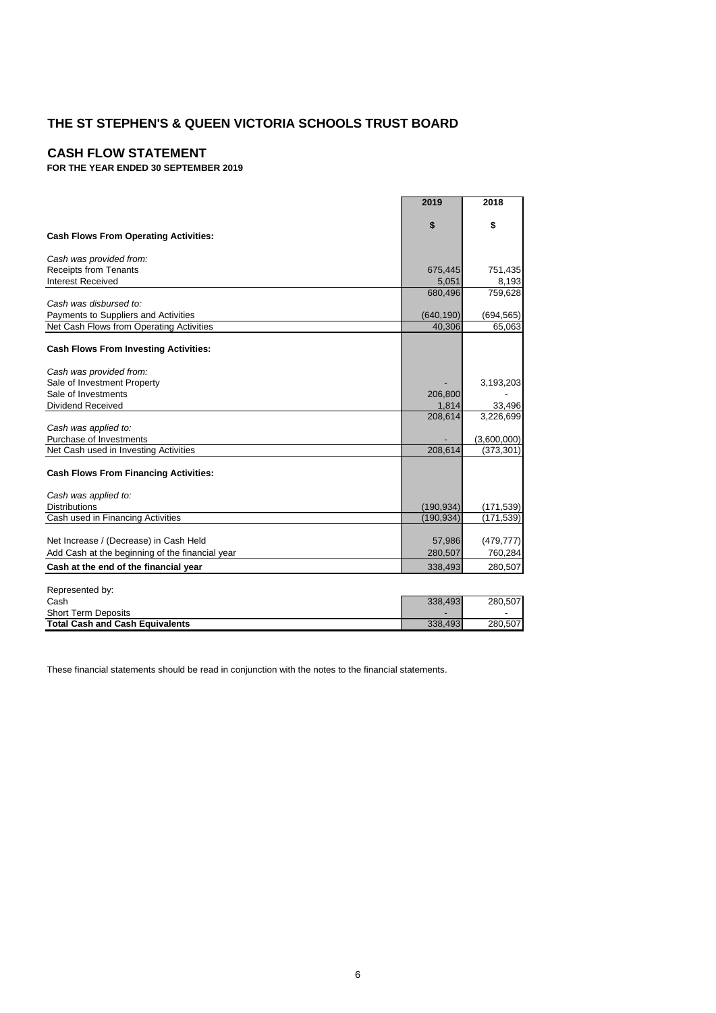### **CASH FLOW STATEMENT**

**FOR THE YEAR ENDED 30 SEPTEMBER 2019**

|                                                                                  | 2019                 | 2018                 |
|----------------------------------------------------------------------------------|----------------------|----------------------|
|                                                                                  | \$                   | \$                   |
| <b>Cash Flows From Operating Activities:</b>                                     |                      |                      |
| Cash was provided from:                                                          |                      |                      |
| <b>Receipts from Tenants</b>                                                     | 675,445              | 751,435              |
| <b>Interest Received</b>                                                         | 5,051                | 8,193                |
|                                                                                  | 680,496              | 759,628              |
| Cash was disbursed to:                                                           |                      |                      |
| Payments to Suppliers and Activities<br>Net Cash Flows from Operating Activities | (640, 190)<br>40,306 | (694, 565)<br>65,063 |
|                                                                                  |                      |                      |
| <b>Cash Flows From Investing Activities:</b>                                     |                      |                      |
| Cash was provided from:                                                          |                      |                      |
| Sale of Investment Property                                                      |                      | 3,193,203            |
| Sale of Investments                                                              | 206,800              |                      |
| <b>Dividend Received</b>                                                         | 1,814                | 33,496               |
|                                                                                  | 208,614              | 3,226,699            |
| Cash was applied to:                                                             |                      |                      |
| Purchase of Investments                                                          |                      | (3,600,000)          |
| Net Cash used in Investing Activities                                            | 208,614              | (373, 301)           |
| <b>Cash Flows From Financing Activities:</b>                                     |                      |                      |
| Cash was applied to:                                                             |                      |                      |
| <b>Distributions</b>                                                             | (190, 934)           | (171, 539)           |
| Cash used in Financing Activities                                                | (190, 934)           | (171,539)            |
| Net Increase / (Decrease) in Cash Held                                           | 57,986               | (479, 777)           |
| Add Cash at the beginning of the financial year                                  | 280,507              | 760,284              |
| Cash at the end of the financial year                                            | 338,493              | 280,507              |
|                                                                                  |                      |                      |
| Represented by:                                                                  |                      |                      |
| Cash                                                                             | 338,493              | 280,507              |
| <b>Short Term Deposits</b>                                                       |                      |                      |

**Total Cash and Cash Equivalents** 338,493 280,507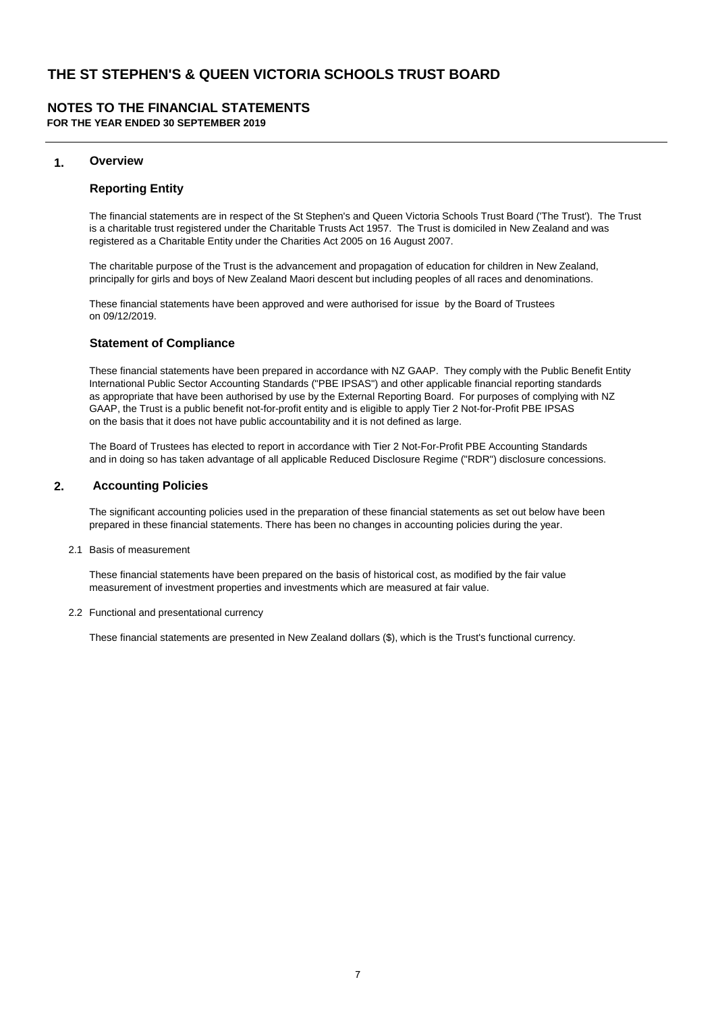# **NOTES TO THE FINANCIAL STATEMENTS**

**FOR THE YEAR ENDED 30 SEPTEMBER 2019**

### **1. Overview**

#### **Reporting Entity**

The financial statements are in respect of the St Stephen's and Queen Victoria Schools Trust Board ('The Trust'). The Trust is a charitable trust registered under the Charitable Trusts Act 1957. The Trust is domiciled in New Zealand and was registered as a Charitable Entity under the Charities Act 2005 on 16 August 2007.

The charitable purpose of the Trust is the advancement and propagation of education for children in New Zealand, principally for girls and boys of New Zealand Maori descent but including peoples of all races and denominations.

These financial statements have been approved and were authorised for issue by the Board of Trustees on 09/12/2019.

#### **Statement of Compliance**

These financial statements have been prepared in accordance with NZ GAAP. They comply with the Public Benefit Entity International Public Sector Accounting Standards ("PBE IPSAS") and other applicable financial reporting standards as appropriate that have been authorised by use by the External Reporting Board. For purposes of complying with NZ GAAP, the Trust is a public benefit not-for-profit entity and is eligible to apply Tier 2 Not-for-Profit PBE IPSAS on the basis that it does not have public accountability and it is not defined as large.

The Board of Trustees has elected to report in accordance with Tier 2 Not-For-Profit PBE Accounting Standards and in doing so has taken advantage of all applicable Reduced Disclosure Regime ("RDR") disclosure concessions.

### **2. Accounting Policies**

The significant accounting policies used in the preparation of these financial statements as set out below have been prepared in these financial statements. There has been no changes in accounting policies during the year.

2.1 Basis of measurement

These financial statements have been prepared on the basis of historical cost, as modified by the fair value measurement of investment properties and investments which are measured at fair value.

2.2 Functional and presentational currency

These financial statements are presented in New Zealand dollars (\$), which is the Trust's functional currency.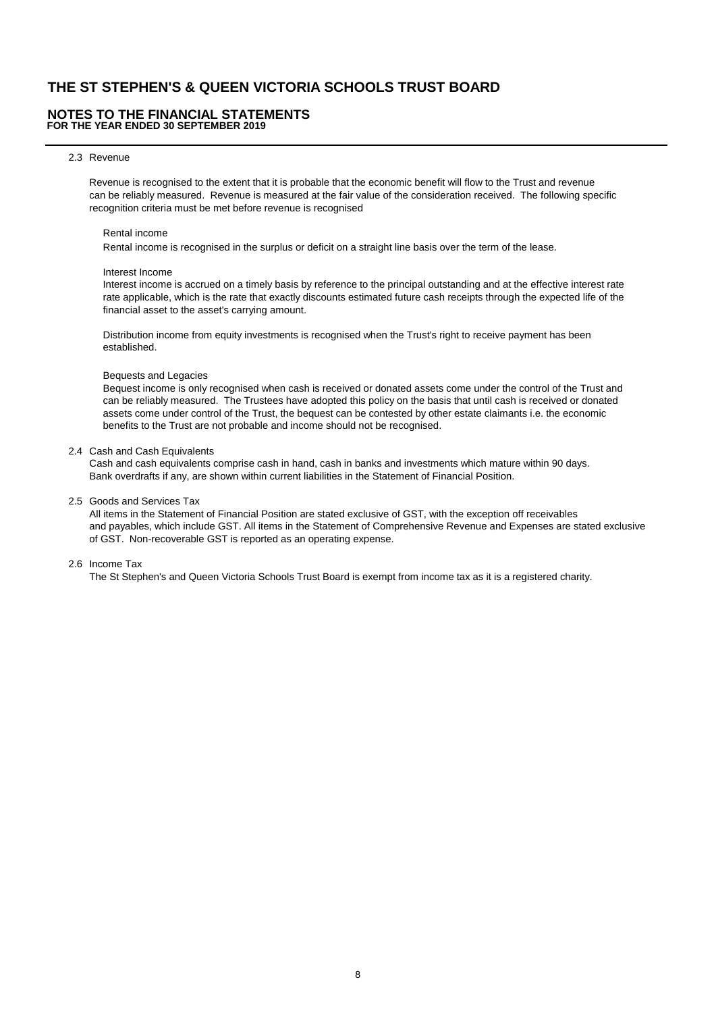#### **NOTES TO THE FINANCIAL STATEMENTS FOR THE YEAR ENDED 30 SEPTEMBER 2019**

#### 2.3 Revenue

Revenue is recognised to the extent that it is probable that the economic benefit will flow to the Trust and revenue can be reliably measured. Revenue is measured at the fair value of the consideration received. The following specific recognition criteria must be met before revenue is recognised

#### Rental income

Rental income is recognised in the surplus or deficit on a straight line basis over the term of the lease.

#### Interest Income

 Interest income is accrued on a timely basis by reference to the principal outstanding and at the effective interest rate rate applicable, which is the rate that exactly discounts estimated future cash receipts through the expected life of the financial asset to the asset's carrying amount.

 Distribution income from equity investments is recognised when the Trust's right to receive payment has been established.

#### Bequests and Legacies

 Bequest income is only recognised when cash is received or donated assets come under the control of the Trust and can be reliably measured. The Trustees have adopted this policy on the basis that until cash is received or donated assets come under control of the Trust, the bequest can be contested by other estate claimants i.e. the economic benefits to the Trust are not probable and income should not be recognised.

#### 2.4 Cash and Cash Equivalents

Cash and cash equivalents comprise cash in hand, cash in banks and investments which mature within 90 days. Bank overdrafts if any, are shown within current liabilities in the Statement of Financial Position.

2.5 Goods and Services Tax

All items in the Statement of Financial Position are stated exclusive of GST, with the exception off receivables and payables, which include GST. All items in the Statement of Comprehensive Revenue and Expenses are stated exclusive of GST. Non-recoverable GST is reported as an operating expense.

#### 2.6 Income Tax

The St Stephen's and Queen Victoria Schools Trust Board is exempt from income tax as it is a registered charity.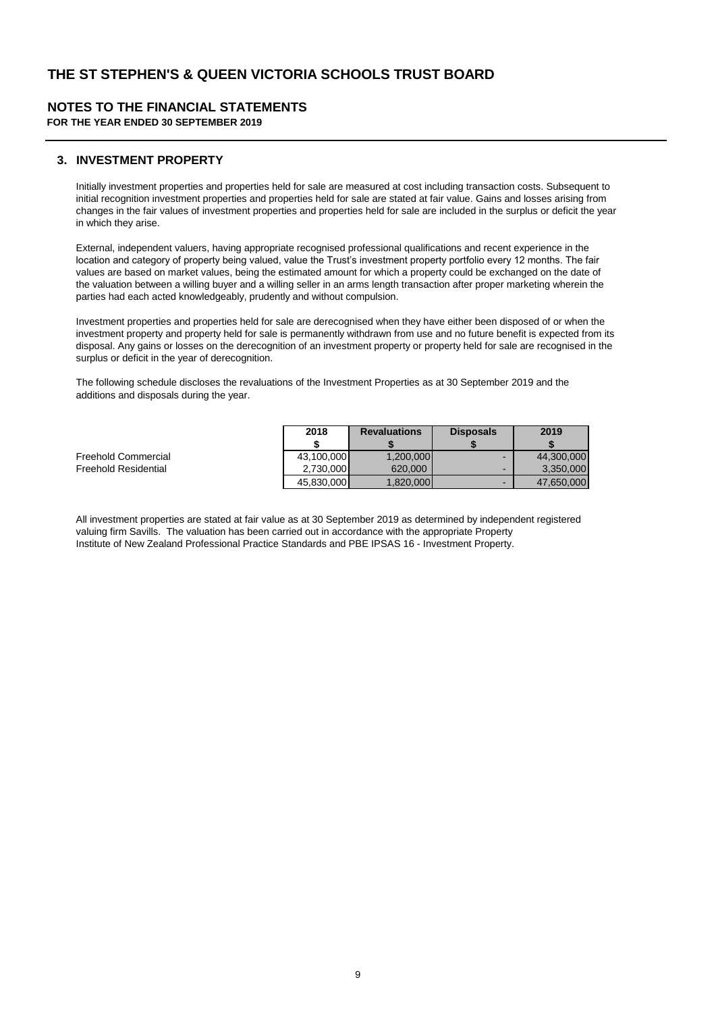### **NOTES TO THE FINANCIAL STATEMENTS**

**FOR THE YEAR ENDED 30 SEPTEMBER 2019**

### **3. INVESTMENT PROPERTY**

Initially investment properties and properties held for sale are measured at cost including transaction costs. Subsequent to initial recognition investment properties and properties held for sale are stated at fair value. Gains and losses arising from changes in the fair values of investment properties and properties held for sale are included in the surplus or deficit the year in which they arise.

External, independent valuers, having appropriate recognised professional qualifications and recent experience in the location and category of property being valued, value the Trust's investment property portfolio every 12 months. The fair values are based on market values, being the estimated amount for which a property could be exchanged on the date of the valuation between a willing buyer and a willing seller in an arms length transaction after proper marketing wherein the parties had each acted knowledgeably, prudently and without compulsion.

Investment properties and properties held for sale are derecognised when they have either been disposed of or when the investment property and property held for sale is permanently withdrawn from use and no future benefit is expected from its disposal. Any gains or losses on the derecognition of an investment property or property held for sale are recognised in the surplus or deficit in the year of derecognition.

The following schedule discloses the revaluations of the Investment Properties as at 30 September 2019 and the additions and disposals during the year.

|                      | 2018       | <b>Revaluations</b> | <b>Disposals</b>         | 2019       |
|----------------------|------------|---------------------|--------------------------|------------|
|                      |            |                     |                          |            |
| Freehold Commercial  | 43.100.000 | 1.200.000           | -                        | 44.300.000 |
| Freehold Residential | 2.730.000  | 620,000             | $\overline{\phantom{a}}$ | 3.350.000  |
|                      | 45.830.000 | 1.820.000           | -                        | 47.650.000 |

All investment properties are stated at fair value as at 30 September 2019 as determined by independent registered valuing firm Savills. The valuation has been carried out in accordance with the appropriate Property Institute of New Zealand Professional Practice Standards and PBE IPSAS 16 - Investment Property.